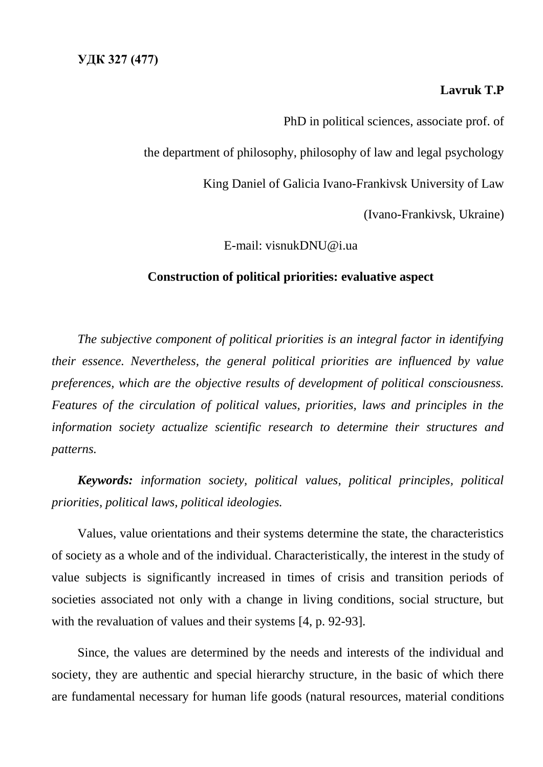## **Lavruk T.P**

PhD in political sciences, associate prof. of

the department of philosophy, philosophy of law and legal psychology

King Daniel of Galicia Ivano-Frankivsk University of Law

(Ivano-Frankivsk, Ukraine)

E-mail: visnukDNU@i.ua

## **Construction of political priorities: evaluative aspect**

*The subjective component of political priorities is an integral factor in identifying their essence. Nevertheless, the general political priorities are influenced by value preferences, which are the objective results of development of political consciousness. Features of the circulation of political values, priorities, laws and principles in the information society actualize scientific research to determine their structures and patterns.*

*Keywords: information society, political values, political principles, political priorities, political laws, political ideologies.*

Values, value orientations and their systems determine the state, the characteristics of society as a whole and of the individual. Characteristically, the interest in the study of value subjects is significantly increased in times of crisis and transition periods of societies associated not only with a change in living conditions, social structure, but with the revaluation of values and their systems [4, p. 92-93].

Since, the values are determined by the needs and interests of the individual and society, they are authentic and special hierarchy structure, in the basic of which there are fundamental necessary for human life goods (natural resources, material conditions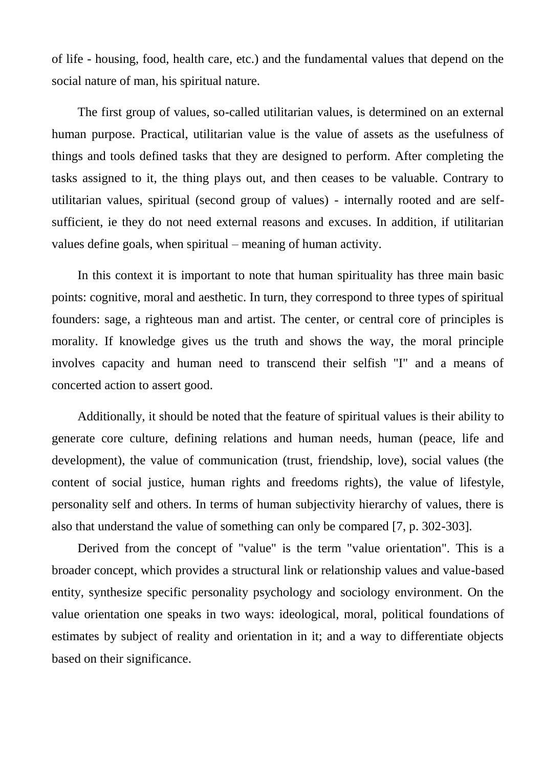of life - housing, food, health care, etc.) and the fundamental values that depend on the social nature of man, his spiritual nature.

The first group of values, so-called utilitarian values, is determined on an external human purpose. Practical, utilitarian value is the value of assets as the usefulness of things and tools defined tasks that they are designed to perform. After completing the tasks assigned to it, the thing plays out, and then ceases to be valuable. Contrary to utilitarian values, spiritual (second group of values) - internally rooted and are selfsufficient, ie they do not need external reasons and excuses. In addition, if utilitarian values define goals, when spiritual – meaning of human activity.

In this context it is important to note that human spirituality has three main basic points: cognitive, moral and aesthetic. In turn, they correspond to three types of spiritual founders: sage, a righteous man and artist. The center, or central core of principles is morality. If knowledge gives us the truth and shows the way, the moral principle involves capacity and human need to transcend their selfish "I" and a means of concerted action to assert good.

Additionally, it should be noted that the feature of spiritual values is their ability to generate core culture, defining relations and human needs, human (peace, life and development), the value of communication (trust, friendship, love), social values (the content of social justice, human rights and freedoms rights), the value of lifestyle, personality self and others. In terms of human subjectivity hierarchy of values, there is also that understand the value of something can only be compared [7, p. 302-303].

Derived from the concept of "value" is the term "value orientation". This is a broader concept, which provides a structural link or relationship values and value-based entity, synthesize specific personality psychology and sociology environment. On the value orientation one speaks in two ways: ideological, moral, political foundations of estimates by subject of reality and orientation in it; and a way to differentiate objects based on their significance.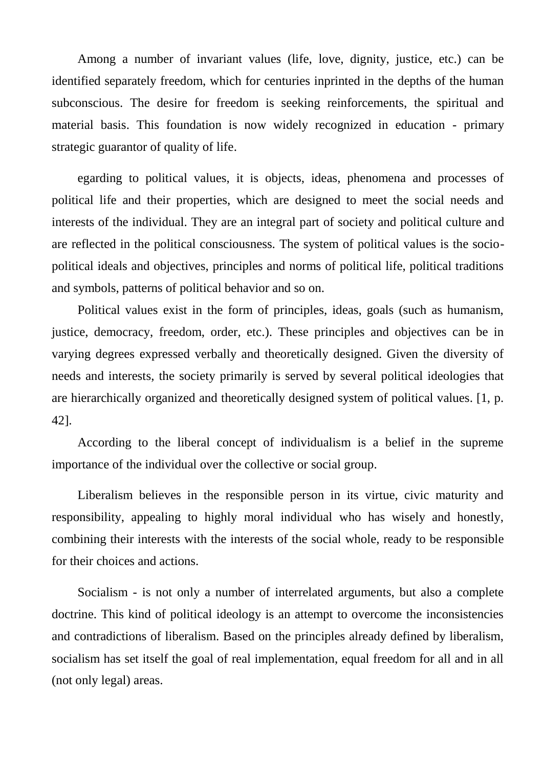Among a number of invariant values (life, love, dignity, justice, etc.) can be identified separately freedom, which for centuries inprinted in the depths of the human subconscious. The desire for freedom is seeking reinforcements, the spiritual and material basis. This foundation is now widely recognized in education - primary strategic guarantor of quality of life.

egarding to political values, it is objects, ideas, phenomena and processes of political life and their properties, which are designed to meet the social needs and interests of the individual. They are an integral part of society and political culture and are reflected in the political consciousness. The system of political values is the sociopolitical ideals and objectives, principles and norms of political life, political traditions and symbols, patterns of political behavior and so on.

Political values exist in the form of principles, ideas, goals (such as humanism, justice, democracy, freedom, order, etc.). These principles and objectives can be in varying degrees expressed verbally and theoretically designed. Given the diversity of needs and interests, the society primarily is served by several political ideologies that are hierarchically organized and theoretically designed system of political values. [1, p. 42].

According to the liberal concept of individualism is a belief in the supreme importance of the individual over the collective or social group.

Liberalism believes in the responsible person in its virtue, civic maturity and responsibility, appealing to highly moral individual who has wisely and honestly, combining their interests with the interests of the social whole, ready to be responsible for their choices and actions.

Socialism - is not only a number of interrelated arguments, but also a complete doctrine. This kind of political ideology is an attempt to overcome the inconsistencies and contradictions of liberalism. Based on the principles already defined by liberalism, socialism has set itself the goal of real implementation, equal freedom for all and in all (not only legal) areas.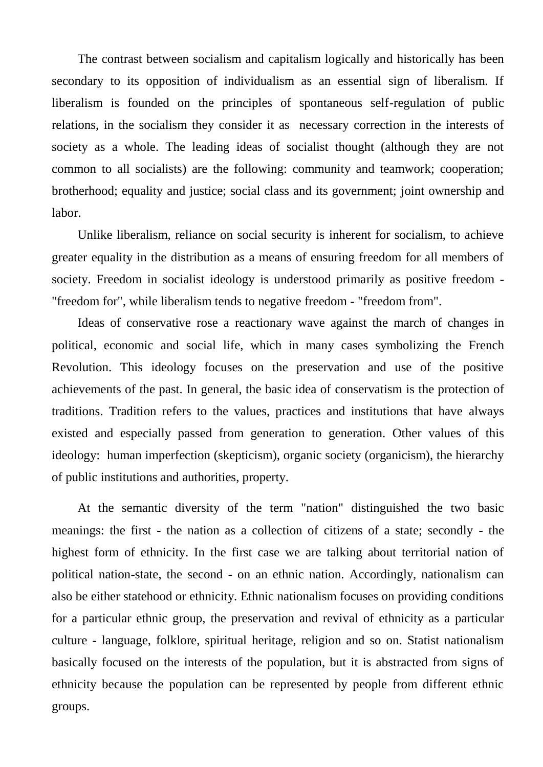The contrast between socialism and capitalism logically and historically has been secondary to its opposition of individualism as an essential sign of liberalism. If liberalism is founded on the principles of spontaneous self-regulation of public relations, in the socialism they consider it as necessary correction in the interests of society as a whole. The leading ideas of socialist thought (although they are not common to all socialists) are the following: community and teamwork; cooperation; brotherhood; equality and justice; social class and its government; joint ownership and labor.

Unlike liberalism, reliance on social security is inherent for socialism, to achieve greater equality in the distribution as a means of ensuring freedom for all members of society. Freedom in socialist ideology is understood primarily as positive freedom - "freedom for", while liberalism tends to negative freedom - "freedom from".

Ideas of conservative rose a reactionary wave against the march of changes in political, economic and social life, which in many cases symbolizing the French Revolution. This ideology focuses on the preservation and use of the positive achievements of the past. In general, the basic idea of conservatism is the protection of traditions. Tradition refers to the values, practices and institutions that have always existed and especially passed from generation to generation. Other values of this ideology: human imperfection (skepticism), organic society (organicism), the hierarchy of public institutions and authorities, property.

At the semantic diversity of the term "nation" distinguished the two basic meanings: the first - the nation as a collection of citizens of a state; secondly - the highest form of ethnicity. In the first case we are talking about territorial nation of political nation-state, the second - on an ethnic nation. Accordingly, nationalism can also be either statehood or ethnicity. Ethnic nationalism focuses on providing conditions for a particular ethnic group, the preservation and revival of ethnicity as a particular culture - language, folklore, spiritual heritage, religion and so on. Statist nationalism basically focused on the interests of the population, but it is abstracted from signs of ethnicity because the population can be represented by people from different ethnic groups.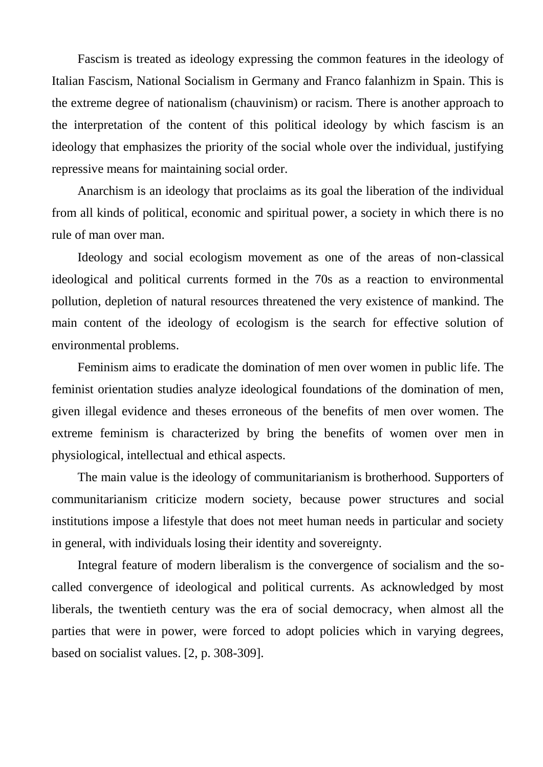Fascism is treated as ideology expressing the common features in the ideology of Italian Fascism, National Socialism in Germany and Franco falanhizm in Spain. This is the extreme degree of nationalism (chauvinism) or racism. There is another approach to the interpretation of the content of this political ideology by which fascism is an ideology that emphasizes the priority of the social whole over the individual, justifying repressive means for maintaining social order.

Anarchism is an ideology that proclaims as its goal the liberation of the individual from all kinds of political, economic and spiritual power, a society in which there is no rule of man over man.

Ideology and social ecologism movement as one of the areas of non-classical ideological and political currents formed in the 70s as a reaction to environmental pollution, depletion of natural resources threatened the very existence of mankind. The main content of the ideology of ecologism is the search for effective solution of environmental problems.

Feminism aims to eradicate the domination of men over women in public life. The feminist orientation studies analyze ideological foundations of the domination of men, given illegal evidence and theses erroneous of the benefits of men over women. The extreme feminism is characterized by bring the benefits of women over men in physiological, intellectual and ethical aspects.

The main value is the ideology of communitarianism is brotherhood. Supporters of communitarianism criticize modern society, because power structures and social institutions impose a lifestyle that does not meet human needs in particular and society in general, with individuals losing their identity and sovereignty.

Integral feature of modern liberalism is the convergence of socialism and the socalled convergence of ideological and political currents. As acknowledged by most liberals, the twentieth century was the era of social democracy, when almost all the parties that were in power, were forced to adopt policies which in varying degrees, based on socialist values. [2, p. 308-309].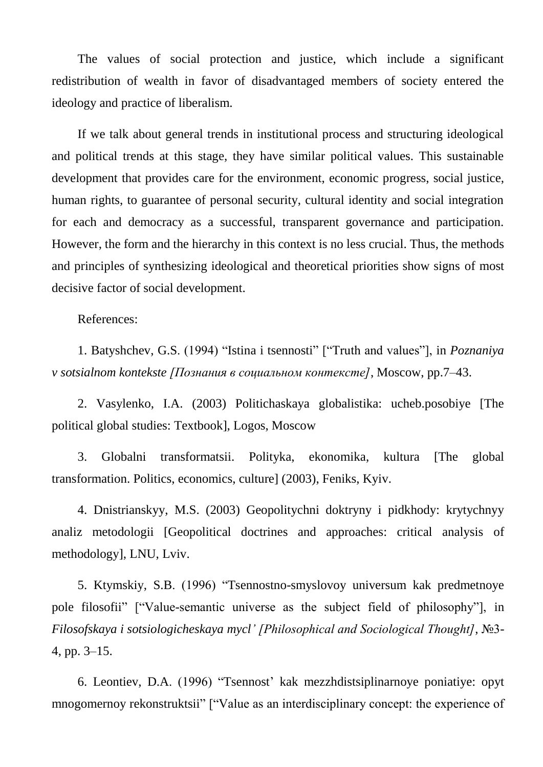The values of social protection and justice, which include a significant redistribution of wealth in favor of disadvantaged members of society entered the ideology and practice of liberalism.

If we talk about general trends in institutional process and structuring ideological and political trends at this stage, they have similar political values. This sustainable development that provides care for the environment, economic progress, social justice, human rights, to guarantee of personal security, cultural identity and social integration for each and democracy as a successful, transparent governance and participation. However, the form and the hierarchy in this context is no less crucial. Thus, the methods and principles of synthesizing ideological and theoretical priorities show signs of most decisive factor of social development.

## References:

1. Batyshchev, G.S. (1994) "Istina i tsennosti" ["Truth and values"], in *Poznaniya v sotsialnom kontekste [Познания в социальном контексте]*, Moscow, pp.7–43.

2. Vasylenko, I.A. (2003) Politichaskaya globalistika: ucheb.posobiye [The political global studies: Textbook], Logos, Moscow

3. Globalni transformatsii. Polityka, ekonomika, kultura [The global transformation. Politics, economics, culture] (2003), Feniks, Kyiv.

4. Dnistrianskyy, M.S. (2003) Geopolitychni doktryny i pidkhody: krytychnyy analiz metodologii [Geopolitical doctrines and approaches: critical analysis of methodology], LNU, Lviv.

5. Ktymskiy, S.B. (1996) "Tsennostno-smyslovoy universum kak predmetnoye pole filosofii" ["Value-semantic universe as the subject field of philosophy"], in *Filosofskaya i sotsiologicheskaya mycl' [Philosophical and Sociological Thought]*, №3- 4, pp. 3–15.

6. Leontiev, D.A. (1996) "Tsennost' kak mezzhdistsiplinarnoye poniatiye: opyt mnogomernoy rekonstruktsii" ["Value as an interdisciplinary concept: the experience of